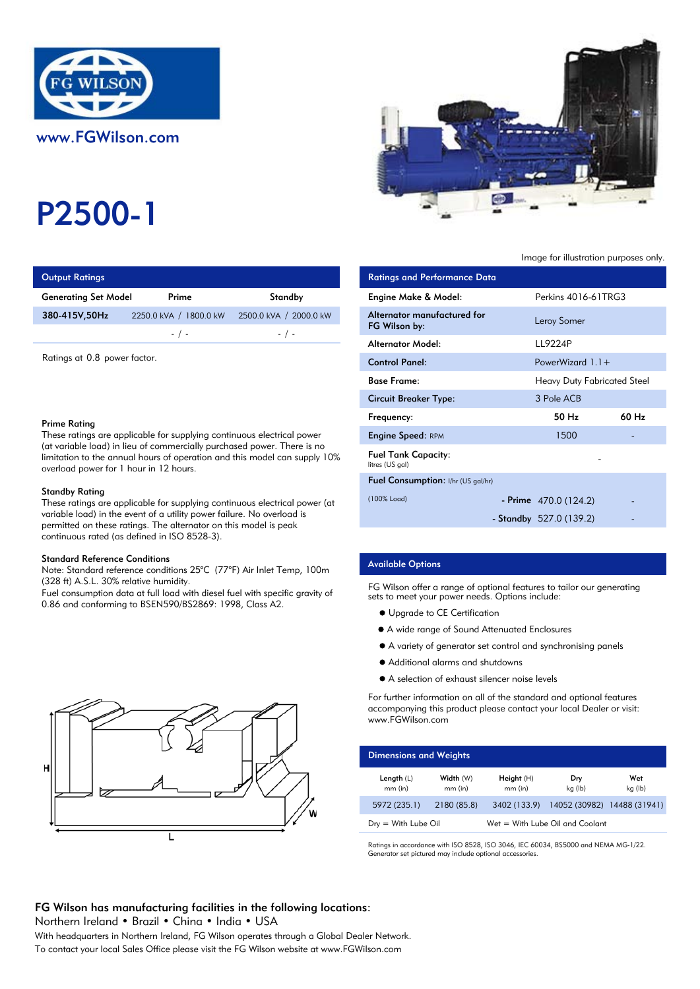

# P2500-1

## **Output Ratings**

| <b>Generating Set Model</b> | Prime                                 | Standby                | Engine Make & Model:   |
|-----------------------------|---------------------------------------|------------------------|------------------------|
| 380-415V,50Hz               | 2250.0 kVA /<br>$^{\prime}$ 1800.0 kW | 2500.0 kVA / 2000.0 kW | Alternator manufacture |
|                             | $-$ / $-$                             | $-$ / $-$              | FG Wilson by:          |
|                             |                                       |                        | Alternator Model:      |

#### Prime Rating

#### Standby Rating

These ratings are applicable for supplying continuous electrical power (at variable load) in the event of a utility power failure. No overload is permitted on these ratings. The alternator on this model is peak continuous rated (as defined in ISO 8528-3).

#### Standard Reference Conditions

Note: Standard reference conditions 25°C (77°F) Air Inlet Temp, 100m (328 ft) A.S.L. 30% relative humidity.

Fuel consumption data at full load with diesel fuel with specific gravity of 0.86 and conforming to BSEN590/BS2869: 1998, Class A2.





#### Image for illustration purposes only.

| <b>Output Ratings</b>                                                                                                                                                                                                                                                                                    |                        |                        | <b>Ratings and Performance Data</b>           |                                    |       |
|----------------------------------------------------------------------------------------------------------------------------------------------------------------------------------------------------------------------------------------------------------------------------------------------------------|------------------------|------------------------|-----------------------------------------------|------------------------------------|-------|
| Generating Set Model                                                                                                                                                                                                                                                                                     | Prime                  | Standby                | Engine Make & Model:                          | Perkins 4016-61TRG3                |       |
| 380-415V,50Hz                                                                                                                                                                                                                                                                                            | 2250.0 kVA / 1800.0 kW | 2500.0 kVA / 2000.0 kW | Alternator manufactured for<br>FG Wilson by:  | Leroy Somer                        |       |
|                                                                                                                                                                                                                                                                                                          | $-$ / $-$              | $-$ / $-$              | <b>Alternator Model:</b>                      | LL9224P                            |       |
| Ratings at 0.8 power factor.                                                                                                                                                                                                                                                                             |                        | <b>Control Panel:</b>  | PowerWizard $1.1+$                            |                                    |       |
|                                                                                                                                                                                                                                                                                                          |                        |                        | <b>Base Frame:</b>                            | <b>Heavy Duty Fabricated Steel</b> |       |
|                                                                                                                                                                                                                                                                                                          |                        |                        | <b>Circuit Breaker Type:</b>                  | 3 Pole ACB                         |       |
| Prime Rating                                                                                                                                                                                                                                                                                             |                        |                        | Frequency:                                    | 50 Hz                              | 60 Hz |
| These ratings are applicable for supplying continuous electrical power<br>(at variable load) in lieu of commercially purchased power. There is no<br>limitation to the annual hours of operation and this model can supply $10\%$<br>overload power for 1 hour in 12 hours.                              |                        |                        | <b>Engine Speed: RPM</b>                      | 1500                               |       |
|                                                                                                                                                                                                                                                                                                          |                        |                        | <b>Fuel Tank Capacity:</b><br>litres (US gal) |                                    |       |
|                                                                                                                                                                                                                                                                                                          |                        |                        | Fuel Consumption: I/hr (US gal/hr)            |                                    |       |
| Standby Rating<br>These ratings are applicable for supplying continuous electrical power (at                                                                                                                                                                                                             |                        | (100% Load)            | - Prime $470.0(124.2)$                        |                                    |       |
| variable load) in the event of a utility power failure. No overload is<br>the second contract of the contract of the contract of the contract of the contract of the contract of the contract of the contract of the contract of the contract of the contract of the contract of the contract of the con |                        |                        |                                               | - Standby $527.0(139.2)$           |       |

#### Available Options

FG Wilson offer a range of optional features to tailor our generating sets to meet your power needs. Options include:

- Upgrade to CE Certification
- A wide range of Sound Attenuated Enclosures
- A variety of generator set control and synchronising panels
- Additional alarms and shutdowns
- A selection of exhaust silencer noise levels

For further information on all of the standard and optional features accompanying this product please contact your local Dealer or visit: www.FGWilson.com

| <b>Dimensions and Weights</b>   |                        |                           |                                   |                |
|---------------------------------|------------------------|---------------------------|-----------------------------------|----------------|
| Length $(L)$<br>$mm$ (in)       | Width (W)<br>$mm$ (in) | Height $(H)$<br>$mm$ (in) | Dry<br>kg (lb)                    | Wet<br>kg (lb) |
| 5972 (235.1)                    | 2180 (85.8)            | 3402 (133.9)              | 14052 (30982) 14488 (31941)       |                |
| $D_{\text{IV}} =$ With Lube Oil |                        |                           | $Wet = With Lube Oil and Coolant$ |                |

Ratings in accordance with ISO 8528, ISO 3046, IEC 60034, BS5000 and NEMA MG-1/22. Generator set pictured may include optional accessories.

# FG Wilson has manufacturing facilities in the following locations:

Northern Ireland . Brazil . China . India . USA

With headquarters in Northern Ireland, FG Wilson operates through a Global Dealer Network. To contact your local Sales Office please visit the FG Wilson website at www.FGWilson.com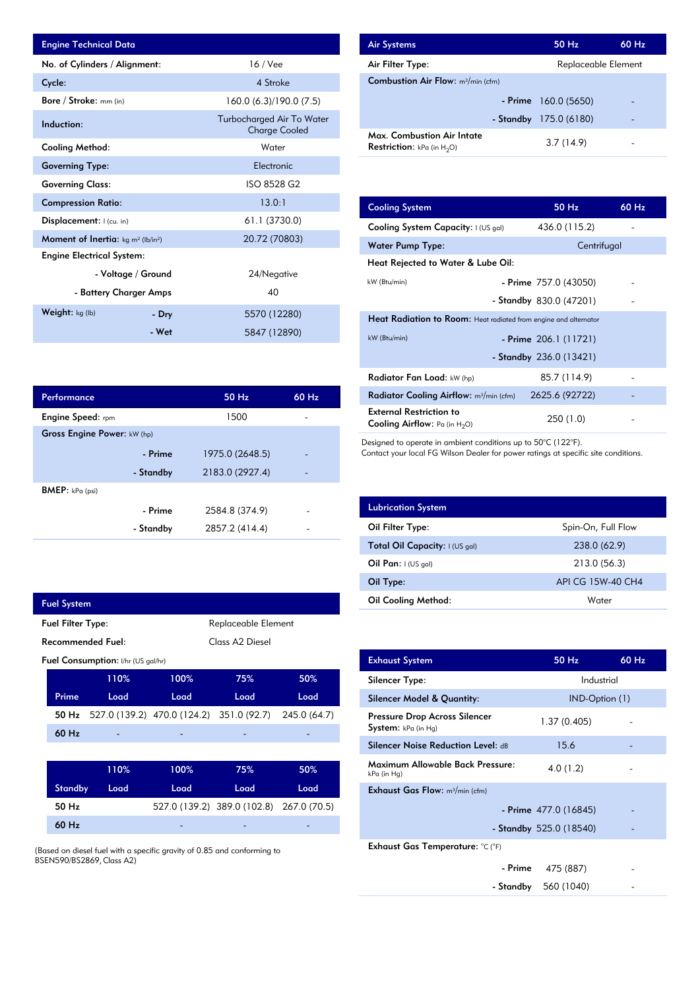| <b>Engine Technical Data</b>                               |                        |                                                   | <b>Air Systems</b>     |
|------------------------------------------------------------|------------------------|---------------------------------------------------|------------------------|
| No. of Cylinders / Alignment:                              |                        | $16$ / Vee                                        | Air Filter Ty          |
| Cycle:                                                     |                        | 4 Stroke                                          | Combustion             |
| Bore / Stroke: mm (in)                                     |                        | 160.0 (6.3)/190.0 (7.5)                           |                        |
| Induction:                                                 |                        | Turbocharged Air To Water<br><b>Charge Cooled</b> | Max. Comb              |
| <b>Cooling Method:</b>                                     |                        | Water                                             | <b>Restriction:</b>    |
| <b>Governing Type:</b>                                     |                        | Electronic                                        |                        |
| <b>Governing Class:</b>                                    |                        | ISO 8528 G2                                       |                        |
| <b>Compression Ratio:</b>                                  |                        | 13.0:1                                            | <b>Cooling Sys</b>     |
| Displacement: I (cu. in)                                   |                        | 61.1 (3730.0)                                     | <b>Cooling Sys</b>     |
| Moment of Inertia: kg m <sup>2</sup> (lb/in <sup>2</sup> ) |                        | 20.72 (70803)                                     | Water Pum              |
| <b>Engine Electrical System:</b>                           |                        |                                                   | <b>Heat Reject</b>     |
|                                                            | - Voltage / Ground     | 24/Negative                                       |                        |
|                                                            | - Battery Charger Amps | 40                                                | kW (Btu/min)           |
| Weight: $kg (lb)$                                          | - Dry                  | 5570 (12280)                                      | <b>Heat Radia</b>      |
|                                                            | - Wet                  | 5847 (12890)                                      | $kW$ ( $Rt_{11}/min$ ) |

| Performance                 |           | 50 Hz           | 60 Hz |
|-----------------------------|-----------|-----------------|-------|
| <b>Engine Speed:</b> rpm    |           | 1500            |       |
| Gross Engine Power: kW (hp) |           |                 |       |
|                             | - Prime   | 1975.0 (2648.5) |       |
|                             | - Standby | 2183.0 (2927.4) |       |
| <b>BMEP</b> : $kPa$ (psi)   |           |                 |       |
|                             | - Prime   | 2584.8 (374.9)  |       |
|                             | - Standby | 2857.2 (414.4)  |       |

| <b>Fuel System</b>                              |                                           |                                                       |                                          |      |
|-------------------------------------------------|-------------------------------------------|-------------------------------------------------------|------------------------------------------|------|
| <b>Fuel Filter Type:</b><br>Replaceable Element |                                           |                                                       |                                          |      |
|                                                 | <b>Recommended Fuel:</b>                  | Class A <sub>2</sub> Diesel                           |                                          |      |
|                                                 | <b>Fuel Consumption:</b> I/hr (US gal/hr) |                                                       |                                          |      |
|                                                 | 110%                                      | 100%                                                  | 75%                                      | 50%  |
| Prime                                           | Load                                      | Load                                                  | Load                                     | Load |
| 50 Hz                                           |                                           | 527.0 (139.2) 470.0 (124.2) 351.0 (92.7) 245.0 (64.7) |                                          |      |
| 60 Hz                                           |                                           |                                                       |                                          |      |
|                                                 |                                           |                                                       |                                          |      |
|                                                 | 110%                                      | 100%                                                  | 75%                                      | 50%  |
| <b>Standby</b>                                  | Load                                      | Load                                                  | Load                                     | Load |
| 50 Hz                                           |                                           |                                                       | 527.0 (139.2) 389.0 (102.8) 267.0 (70.5) |      |
| 60 Hz                                           |                                           |                                                       |                                          |      |
|                                                 | .                                         |                                                       |                                          |      |

(Based on diesel fuel with a specific gravity of 0.85 and conforming to BSEN590/BS2869, Class A2)

| <b>Air Systems</b>                                                 | 50 Hz                  | $60$ Hz |
|--------------------------------------------------------------------|------------------------|---------|
| Air Filter Type:                                                   | Replaceable Element    |         |
| <b>Combustion Air Flow:</b> m <sup>3</sup> /min (cfm)              |                        |         |
|                                                                    | $-$ Prime 160.0 (5650) |         |
| - Standby                                                          | 175.0 (6180)           | -       |
| Max. Combustion Air Intate<br><b>Restriction:</b> kPa (in $H_2O$ ) | 3.7(14.9)              |         |

| 13.0:1         | <b>Cooling System</b>                                                     | 50 Hz                    | 60 Hz |
|----------------|---------------------------------------------------------------------------|--------------------------|-------|
| 61.1 (3730.0)  | Cooling System Capacity: I (US gal)                                       | 436.0 (115.2)            |       |
| 20.72 (70803)  | <b>Water Pump Type:</b>                                                   | Centrifugal              |       |
|                | Heat Rejected to Water & Lube Oil:                                        |                          |       |
| 24/Negative    | kW (Btu/min)                                                              | - Prime $757.0$ (43050)  |       |
| 40             |                                                                           | - Standby $830.0(47201)$ |       |
| 5570 (12280)   | <b>Heat Radiation to Room:</b> Heat radiated from engine and alternator   |                          |       |
| 5847 (12890)   | kW (Btu/min)                                                              | - Prime 206.1 (11721)    |       |
|                |                                                                           | - Standby $236.0(13421)$ |       |
|                | Radiator Fan Load: kW (hp)                                                | 85.7 (114.9)             |       |
| 50 Hz<br>60 Hz | <b>Radiator Cooling Airflow:</b> $m^3/m$ in (cfm)                         | 2625.6 (92722)           |       |
| 1500           | <b>External Restriction to</b><br><b>Cooling Airflow:</b> Pa (in $H_2O$ ) | 250 (1.0)                |       |

Designed to operate in ambient conditions up to 50°C (122°F).

Contact your local FG Wilson Dealer for power ratings at specific site conditions.

| <b>Lubrication System</b>      |                    |
|--------------------------------|--------------------|
| Oil Filter Type:               | Spin-On, Full Flow |
| Total Oil Capacity: I (US gal) | 238.0 (62.9)       |
| Oil Pan: $I(US gal)$           | 213.0 (56.3)       |
| Oil Type:                      | API CG 15W-40 CH4  |
| <b>Oil Cooling Method:</b>     | Water              |

| <b>Exhaust System</b>                                | 50 Hz                     | 60 Hz |
|------------------------------------------------------|---------------------------|-------|
| Silencer Type:                                       | Industrial                |       |
| Silencer Model & Quantity:                           | IND-Option (1)            |       |
| Pressure Drop Across Silencer<br>System: kPa (in Hg) | 1.37(0.405)               |       |
| <b>Silencer Noise Reduction Level: dB</b>            | 15.6                      |       |
| Maximum Allowable Back Pressure:<br>kPa (in Hg)      | 4.0(1.2)                  |       |
| <b>Exhaust Gas Flow:</b> $m^3/m$ in (cfm)            |                           |       |
|                                                      | - Prime $477.0(16845)$    |       |
|                                                      | - Standby $525.0$ (18540) |       |
| Exhaust Gas Temperature: °C (°F)                     |                           |       |
| - Prime                                              | 475 (887)                 |       |
| - Standby                                            | 560 (1040)                |       |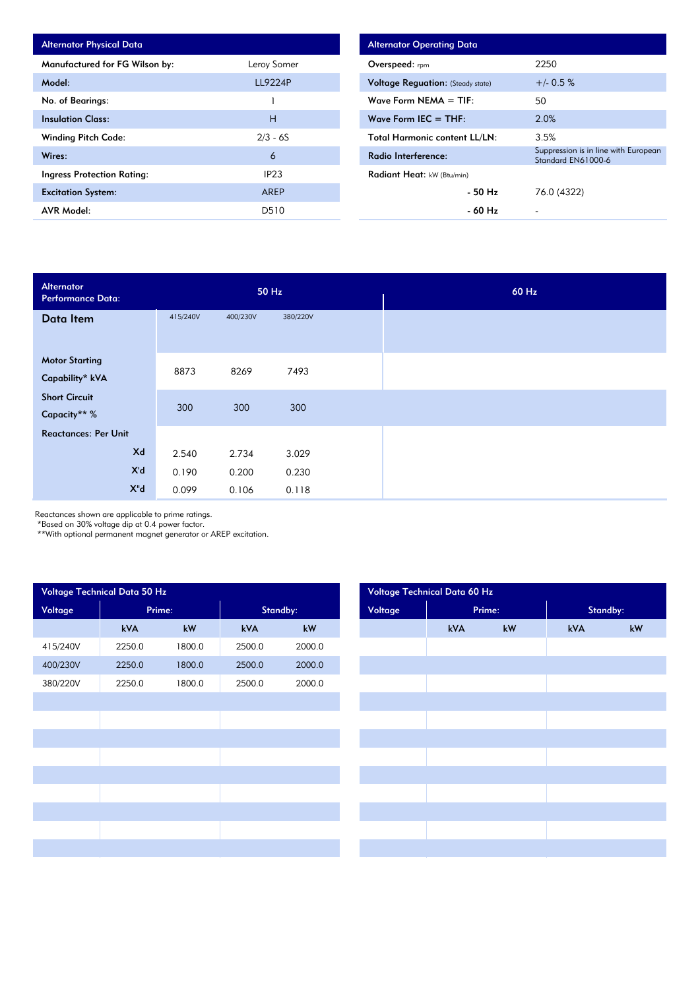| <b>Alternator Physical Data</b> |                |
|---------------------------------|----------------|
| Manufactured for FG Wilson by:  | Leroy Somer    |
| Model:                          | <b>LL9224P</b> |
| No. of Bearings:                |                |
| <b>Insulation Class:</b>        | н              |
| <b>Winding Pitch Code:</b>      | $2/3 - 6S$     |
| Wires:                          | 6              |
| Ingress Protection Rating:      | IP23           |
| <b>Excitation System:</b>       | <b>ARFP</b>    |
| <b>AVR Model:</b>               | D510           |

| <b>Alternator Operating Data</b>         |                                                            |
|------------------------------------------|------------------------------------------------------------|
| Overspeed: $r_{\text{pm}}$               | 2250                                                       |
| <b>Voltage Reguation:</b> (Steady state) | $+/- 0.5 %$                                                |
| Wave Form $NEMA = TIF:$                  | 50                                                         |
| Wave Form IEC $=$ THF:                   | 2.0%                                                       |
| <b>Total Harmonic content LL/LN:</b>     | 3.5%                                                       |
| Radio Interference:                      | Suppression is in line with European<br>Standard EN61000-6 |
| <b>Radiant Heat:</b> kW (Btu/min)        |                                                            |
| - 50 Hz                                  | 76.0 (4322)                                                |
| - 60 Hz                                  |                                                            |

| Alternator<br><b>Performance Data:</b> |          | 50 Hz    |          |  |  |  |
|----------------------------------------|----------|----------|----------|--|--|--|
| Data Item                              | 415/240V | 400/230V | 380/220V |  |  |  |
|                                        |          |          |          |  |  |  |
| <b>Motor Starting</b>                  | 8873     | 8269     | 7493     |  |  |  |
| Capability* kVA                        |          |          |          |  |  |  |
| <b>Short Circuit</b>                   |          |          |          |  |  |  |
| Capacity** %                           | 300      | 300      | 300      |  |  |  |
| <b>Reactances: Per Unit</b>            |          |          |          |  |  |  |
| Xd                                     | 2.540    | 2.734    | 3.029    |  |  |  |
| X'd                                    | 0.190    | 0.200    | 0.230    |  |  |  |
| $X^{\prime\prime}$ d                   | 0.099    | 0.106    | 0.118    |  |  |  |

Reactances shown are applicable to prime ratings.

\*Based on 30% voltage dip at 0.4 power factor.

\*\*With optional permanent magnet generator or AREP excitation.

| Voltage Technical Data 50 Hz |        |        |          |        | Voltage Technical Data 60 Hz |        |    |          |    |  |  |
|------------------------------|--------|--------|----------|--------|------------------------------|--------|----|----------|----|--|--|
| Voltage                      | Prime: |        | Standby: |        | Voltage                      | Prime: |    | Standby: |    |  |  |
|                              | kVA    | kW     | kVA      | $kW$   |                              | kVA    | kW | kVA      | kW |  |  |
| 415/240V                     | 2250.0 | 1800.0 | 2500.0   | 2000.0 |                              |        |    |          |    |  |  |
| 400/230V                     | 2250.0 | 1800.0 | 2500.0   | 2000.0 |                              |        |    |          |    |  |  |
| 380/220V                     | 2250.0 | 1800.0 | 2500.0   | 2000.0 |                              |        |    |          |    |  |  |
|                              |        |        |          |        |                              |        |    |          |    |  |  |
|                              |        |        |          |        |                              |        |    |          |    |  |  |
|                              |        |        |          |        |                              |        |    |          |    |  |  |
|                              |        |        |          |        |                              |        |    |          |    |  |  |
|                              |        |        |          |        |                              |        |    |          |    |  |  |
|                              |        |        |          |        |                              |        |    |          |    |  |  |
|                              |        |        |          |        |                              |        |    |          |    |  |  |
|                              |        |        |          |        |                              |        |    |          |    |  |  |
|                              |        |        |          |        |                              |        |    |          |    |  |  |